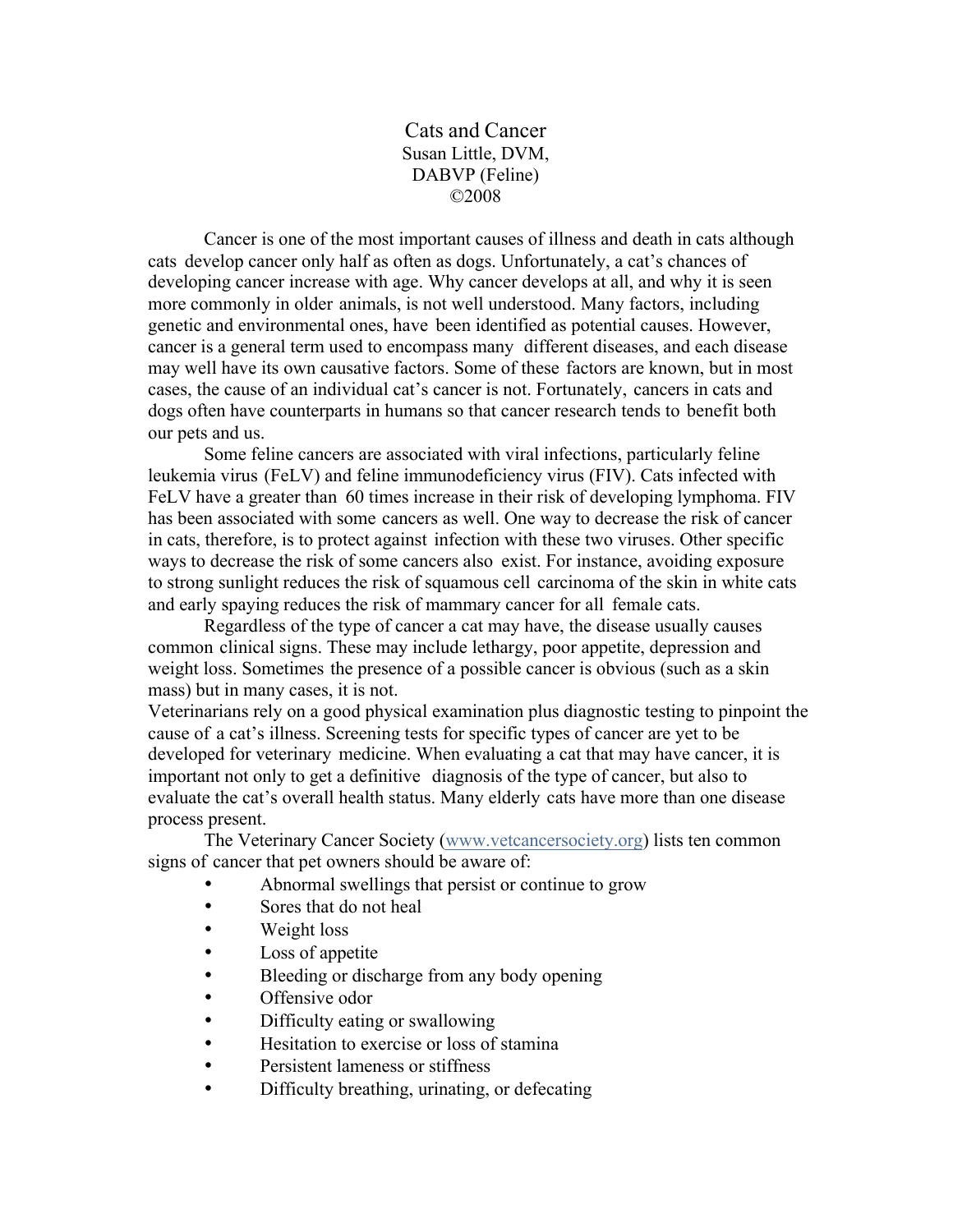Cats and Cancer Susan Little, DVM, DABVP (Feline) ©2008

Cancer is one of the most important causes of illness and death in cats although cats develop cancer only half as often as dogs. Unfortunately, a cat's chances of developing cancer increase with age. Why cancer develops at all, and why it is seen more commonly in older animals, is not well understood. Many factors, including genetic and environmental ones, have been identified as potential causes. However, cancer is a general term used to encompass many different diseases, and each disease may well have its own causative factors. Some of these factors are known, but in most cases, the cause of an individual cat's cancer is not. Fortunately, cancers in cats and dogs often have counterparts in humans so that cancer research tends to benefit both our pets and us.

Some feline cancers are associated with viral infections, particularly feline leukemia virus (FeLV) and feline immunodeficiency virus (FIV). Cats infected with FeLV have a greater than 60 times increase in their risk of developing lymphoma. FIV has been associated with some cancers as well. One way to decrease the risk of cancer in cats, therefore, is to protect against infection with these two viruses. Other specific ways to decrease the risk of some cancers also exist. For instance, avoiding exposure to strong sunlight reduces the risk of squamous cell carcinoma of the skin in white cats and early spaying reduces the risk of mammary cancer for all female cats.

Regardless of the type of cancer a cat may have, the disease usually causes common clinical signs. These may include lethargy, poor appetite, depression and weight loss. Sometimes the presence of a possible cancer is obvious (such as a skin mass) but in many cases, it is not.

Veterinarians rely on a good physical examination plus diagnostic testing to pinpoint the cause of a cat's illness. Screening tests for specific types of cancer are yet to be developed for veterinary medicine. When evaluating a cat that may have cancer, it is important not only to get a definitive diagnosis of the type of cancer, but also to evaluate the cat's overall health status. Many elderly cats have more than one disease process present.

The Veterinary Cancer Society (www.vetcancersociety.org) lists ten common signs of cancer that pet owners should be aware of:

- Abnormal swellings that persist or continue to grow
- Sores that do not heal
- Weight loss
- Loss of appetite
- Bleeding or discharge from any body opening
- Offensive odor
- Difficulty eating or swallowing
- Hesitation to exercise or loss of stamina
- Persistent lameness or stiffness
- Difficulty breathing, urinating, or defecating